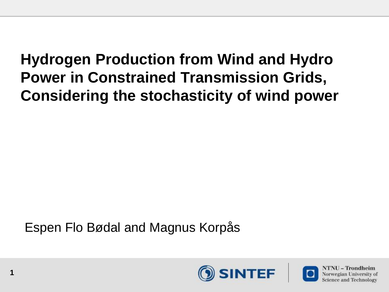#### **Hydrogen Production from Wind and Hydro Power in Constrained Transmission Grids, Considering the stochasticity of wind power**

Espen Flo Bødal and Magnus Korpås

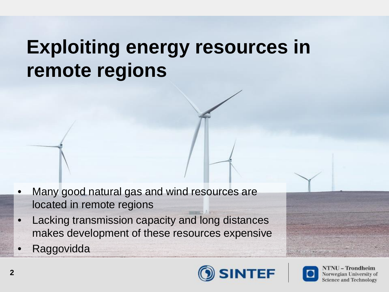#### **Exploiting energy resources in remote regions**

- Many good natural gas and wind resources are located in remote regions
- Lacking transmission capacity and long distances makes development of these resources expensive
- **Raggovidda**





**NTNU - Trondheim** Norwegian University of **Science and Technology**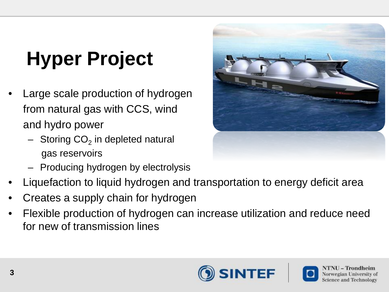# **Hyper Project**

- Large scale production of hydrogen from natural gas with CCS, wind and hydro power
	- $-$  Storing CO<sub>2</sub> in depleted natural gas reservoirs
	- Producing hydrogen by electrolysis
- Liquefaction to liquid hydrogen and transportation to energy deficit area
- Creates a supply chain for hydrogen
- Flexible production of hydrogen can increase utilization and reduce need for new of transmission lines



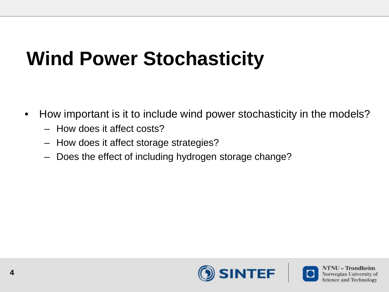## **Wind Power Stochasticity**

- How important is it to include wind power stochasticity in the models?
	- How does it affect costs?
	- How does it affect storage strategies?
	- Does the effect of including hydrogen storage change?

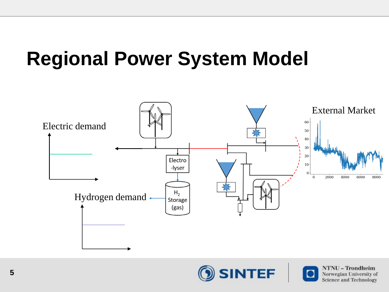### **Regional Power System Model**





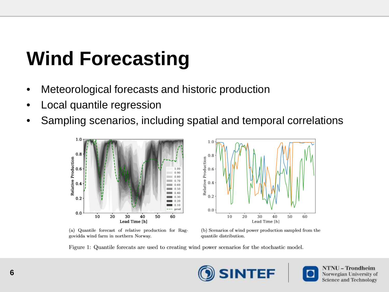## **Wind Forecasting**

- Meteorological forecasts and historic production
- Local quantile regression
- Sampling scenarios, including spatial and temporal correlations



(a) Quantile forecast of relative production for Raggovidda wind farm in northern Norway.



(b) Scenarios of wind power production sampled from the quantile distribution.

Figure 1: Quantile forecats are used to creating wind power scenarios for the stochastic model.

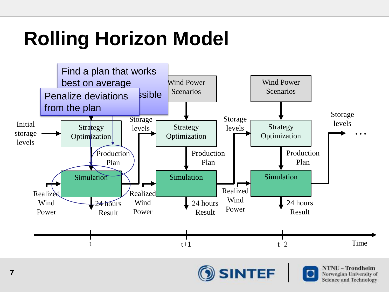# **Rolling Horizon Model**



SINTEF

Norwegian University of **Science and Technology**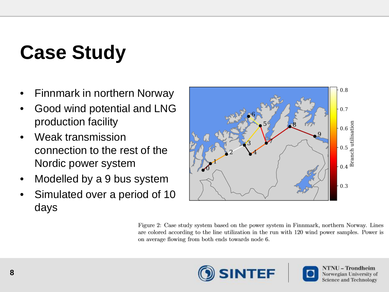# **Case Study**

- Finnmark in northern Norway
- Good wind potential and LNG production facility
- Weak transmission connection to the rest of the Nordic power system
- Modelled by a 9 bus system
- Simulated over a period of 10 days



Figure 2: Case study system based on the power system in Finnmark, northern Norway. Lines are colored according to the line utilization in the run with 120 wind power samples. Power is on average flowing from both ends towards node 6.



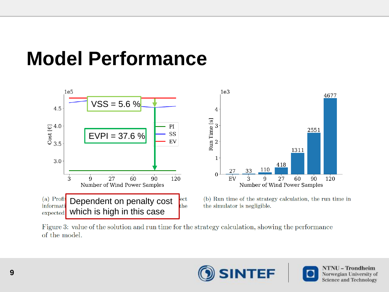### **Model Performance**



Figure 3: value of the solution and run time for the strategy calculation, showing the performance of the model.

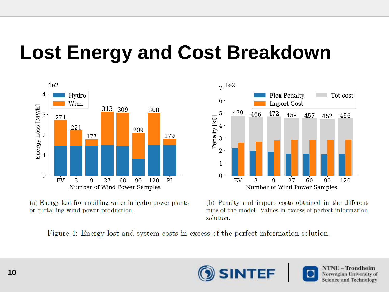#### **Lost Energy and Cost Breakdown**





(a) Energy lost from spilling water in hydro power plants or curtailing wind power production.

(b) Penalty and import costs obtained in the different runs of the model. Values in excess of perfect information solution.

Figure 4: Energy lost and system costs in excess of the perfect information solution.

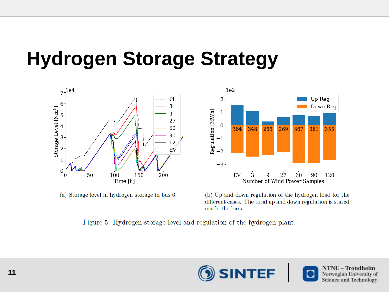### **Hydrogen Storage Strategy**



(a) Storage level in hydrogen storage in bus 6.

(b) Up and down regulation of the hydrogen load for the different cases. The total up and down regulation is stated inside the bars.

Figure 5: Hydrogen storage level and regulation of the hydrogen plant.

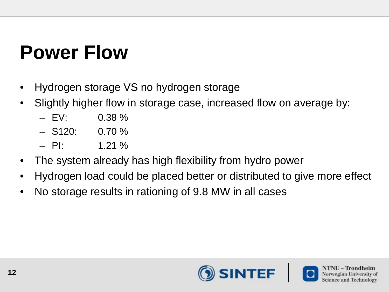## **Power Flow**

- Hydrogen storage VS no hydrogen storage
- Slightly higher flow in storage case, increased flow on average by:
	- $-$  FV: 0.38 %
	- $-$  S120: 0.70 %
	- $-$  PI:  $1.21\%$
- The system already has high flexibility from hydro power
- Hydrogen load could be placed better or distributed to give more effect
- No storage results in rationing of 9.8 MW in all cases